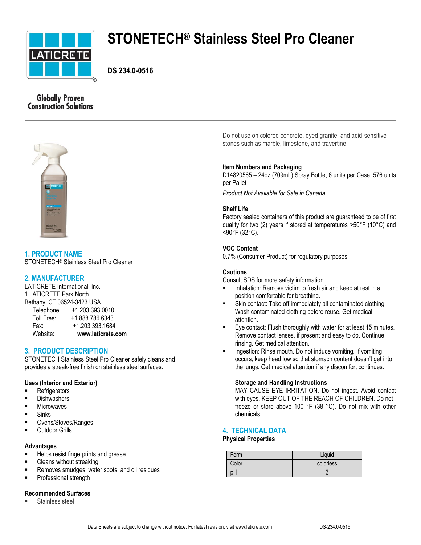

# **STONETECH® Stainless Steel Pro Cleaner**

**DS 234.0-0516**

# **Globally Proven Construction Solutions**



**1. PRODUCT NAME** STONETECH® Stainless Steel Pro Cleaner

# **2. MANUFACTURER**

LATICRETE International, Inc. 1 LATICRETE Park North Bethany, CT 06524-3423 USA Telephone: +1.203.393.0010 Toll Free: +1.888.786.6343 Fax: +1.203.393.1684 Website: **www.laticrete.com**

# **3. PRODUCT DESCRIPTION**

STONETECH Stainless Steel Pro Cleaner safely cleans and provides a streak-free finish on stainless steel surfaces.

## **Uses (Interior and Exterior)**

- **Refrigerators**
- **Dishwashers**
- **Microwaves**
- **Sinks**
- Ovens/Stoves/Ranges
- Outdoor Grills

#### **Advantages**

- Helps resist fingerprints and grease
- Cleans without streaking
- Removes smudges, water spots, and oil residues
- **Professional strength**

## **Recommended Surfaces**

Stainless steel

Do not use on colored concrete, dyed granite, and acid-sensitive stones such as marble, limestone, and travertine.

## **Item Numbers and Packaging**

D14820565 – 24oz (709mL) Spray Bottle, 6 units per Case, 576 units per Pallet

*Product Not Available for Sale in Canada*

## **Shelf Life**

Factory sealed containers of this product are guaranteed to be of first quality for two (2) years if stored at temperatures >50°F (10°C) and <90°F (32°C).

## **VOC Content**

0.7% (Consumer Product) for regulatory purposes

## **Cautions**

Consult SDS for more safety information.

- **Inhalation: Remove victim to fresh air and keep at rest in a** position comfortable for breathing.
- Skin contact: Take off immediately all contaminated clothing. Wash contaminated clothing before reuse. Get medical attention.
- Eye contact: Flush thoroughly with water for at least 15 minutes. Remove contact lenses, if present and easy to do. Continue rinsing. Get medical attention.
- Ingestion: Rinse mouth. Do not induce vomiting. If vomiting occurs, keep head low so that stomach content doesn't get into the lungs. Get medical attention if any discomfort continues.

## **Storage and Handling Instructions**

MAY CAUSE EYE IRRITATION. Do not ingest. Avoid contact with eyes. KEEP OUT OF THE REACH OF CHILDREN. Do not freeze or store above 100 °F (38 °C). Do not mix with other chemicals.

## **4. TECHNICAL DATA**

#### **Physical Properties**

| Form  | Liquid    |
|-------|-----------|
| Color | colorless |
| pН    |           |